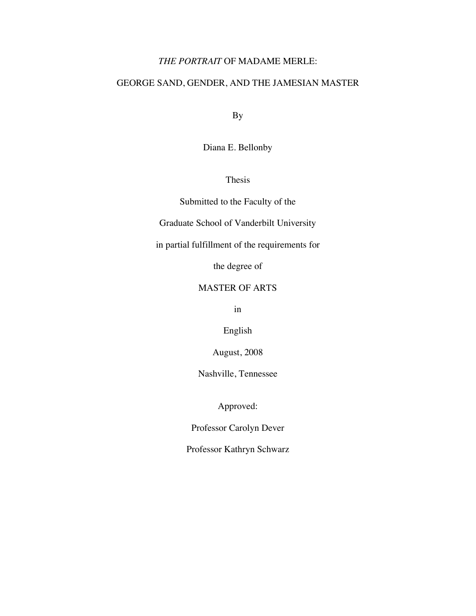## *THE PORTRAIT* OF MADAME MERLE:

# GEORGE SAND, GENDER, AND THE JAMESIAN MASTER

By

Diana E. Bellonby

Thesis

Submitted to the Faculty of the

Graduate School of Vanderbilt University

in partial fulfillment of the requirements for

the degree of

## MASTER OF ARTS

in

English

August, 2008

Nashville, Tennessee

Approved:

Professor Carolyn Dever

Professor Kathryn Schwarz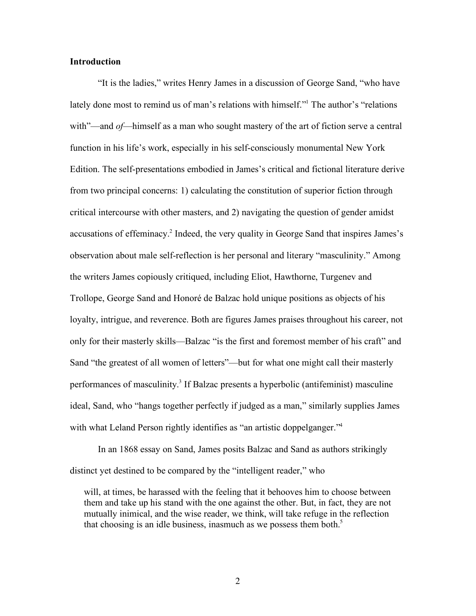#### **Introduction**

"It is the ladies," writes Henry James in a discussion of George Sand, "who have lately done most to remind us of man's relations with himself."<sup>1</sup> The author's "relations with"—and *of*—himself as a man who sought mastery of the art of fiction serve a central function in his life's work, especially in his self-consciously monumental New York Edition. The self-presentations embodied in James's critical and fictional literature derive from two principal concerns: 1) calculating the constitution of superior fiction through critical intercourse with other masters, and 2) navigating the question of gender amidst accusations of effeminacy.<sup>2</sup> Indeed, the very quality in George Sand that inspires James's observation about male self-reflection is her personal and literary "masculinity." Among the writers James copiously critiqued, including Eliot, Hawthorne, Turgenev and Trollope, George Sand and Honoré de Balzac hold unique positions as objects of his loyalty, intrigue, and reverence. Both are figures James praises throughout his career, not only for their masterly skills—Balzac "is the first and foremost member of his craft" and Sand "the greatest of all women of letters"—but for what one might call their masterly performances of masculinity.<sup>3</sup> If Balzac presents a hyperbolic (antifeminist) masculine ideal, Sand, who "hangs together perfectly if judged as a man," similarly supplies James with what Leland Person rightly identifies as "an artistic doppelganger."<sup>4</sup>

In an 1868 essay on Sand, James posits Balzac and Sand as authors strikingly distinct yet destined to be compared by the "intelligent reader," who

will, at times, be harassed with the feeling that it behooves him to choose between them and take up his stand with the one against the other. But, in fact, they are not mutually inimical, and the wise reader, we think, will take refuge in the reflection that choosing is an idle business, inasmuch as we possess them both.<sup>5</sup>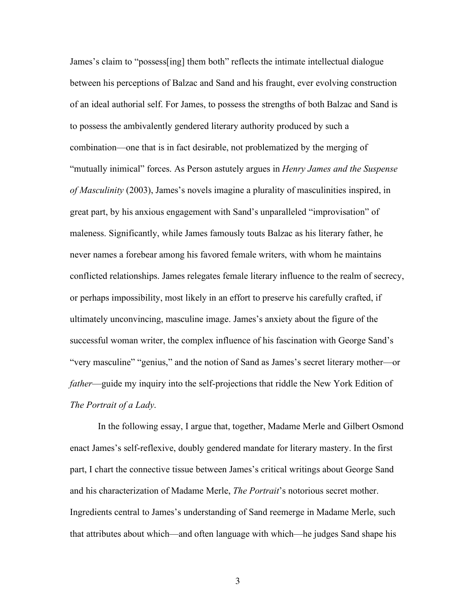James's claim to "possess[ing] them both" reflects the intimate intellectual dialogue between his perceptions of Balzac and Sand and his fraught, ever evolving construction of an ideal authorial self. For James, to possess the strengths of both Balzac and Sand is to possess the ambivalently gendered literary authority produced by such a combination—one that is in fact desirable, not problematized by the merging of "mutually inimical" forces. As Person astutely argues in *Henry James and the Suspense of Masculinity* (2003), James's novels imagine a plurality of masculinities inspired, in great part, by his anxious engagement with Sand's unparalleled "improvisation" of maleness. Significantly, while James famously touts Balzac as his literary father, he never names a forebear among his favored female writers, with whom he maintains conflicted relationships. James relegates female literary influence to the realm of secrecy, or perhaps impossibility, most likely in an effort to preserve his carefully crafted, if ultimately unconvincing, masculine image. James's anxiety about the figure of the successful woman writer, the complex influence of his fascination with George Sand's "very masculine" "genius," and the notion of Sand as James's secret literary mother—or *father*—guide my inquiry into the self-projections that riddle the New York Edition of *The Portrait of a Lady*.

In the following essay, I argue that, together, Madame Merle and Gilbert Osmond enact James's self-reflexive, doubly gendered mandate for literary mastery. In the first part, I chart the connective tissue between James's critical writings about George Sand and his characterization of Madame Merle, *The Portrait*'s notorious secret mother. Ingredients central to James's understanding of Sand reemerge in Madame Merle, such that attributes about which—and often language with which—he judges Sand shape his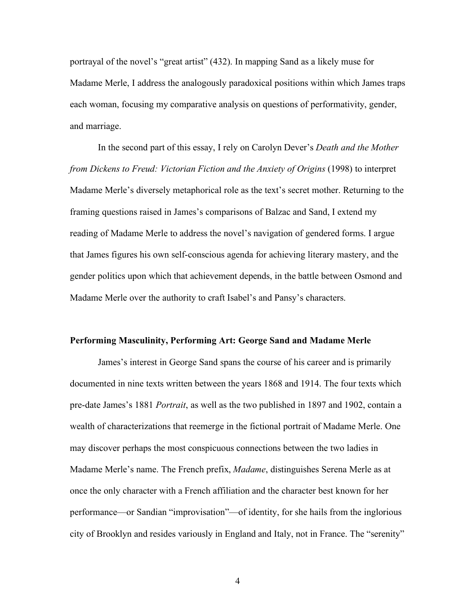portrayal of the novel's "great artist" (432). In mapping Sand as a likely muse for Madame Merle, I address the analogously paradoxical positions within which James traps each woman, focusing my comparative analysis on questions of performativity, gender, and marriage.

In the second part of this essay, I rely on Carolyn Dever's *Death and the Mother from Dickens to Freud: Victorian Fiction and the Anxiety of Origins* (1998) to interpret Madame Merle's diversely metaphorical role as the text's secret mother. Returning to the framing questions raised in James's comparisons of Balzac and Sand, I extend my reading of Madame Merle to address the novel's navigation of gendered forms. I argue that James figures his own self-conscious agenda for achieving literary mastery, and the gender politics upon which that achievement depends, in the battle between Osmond and Madame Merle over the authority to craft Isabel's and Pansy's characters.

#### **Performing Masculinity, Performing Art: George Sand and Madame Merle**

James's interest in George Sand spans the course of his career and is primarily documented in nine texts written between the years 1868 and 1914. The four texts which pre-date James's 1881 *Portrait*, as well as the two published in 1897 and 1902, contain a wealth of characterizations that reemerge in the fictional portrait of Madame Merle. One may discover perhaps the most conspicuous connections between the two ladies in Madame Merle's name. The French prefix, *Madame*, distinguishes Serena Merle as at once the only character with a French affiliation and the character best known for her performance—or Sandian "improvisation"—of identity, for she hails from the inglorious city of Brooklyn and resides variously in England and Italy, not in France. The "serenity"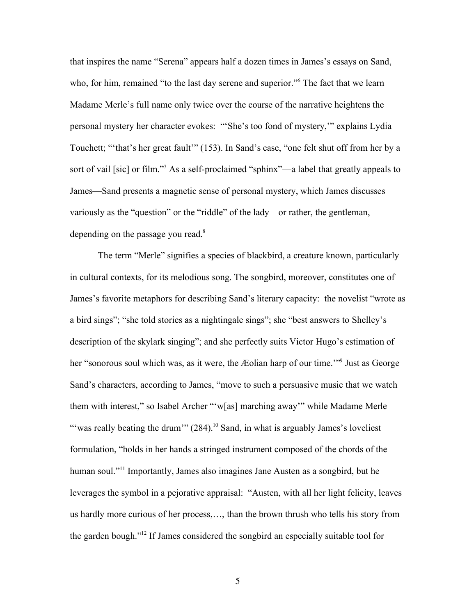that inspires the name "Serena" appears half a dozen times in James's essays on Sand, who, for him, remained "to the last day serene and superior." The fact that we learn Madame Merle's full name only twice over the course of the narrative heightens the personal mystery her character evokes: "'She's too fond of mystery,'" explains Lydia Touchett; "'that's her great fault'" (153). In Sand's case, "one felt shut off from her by a sort of vail [sic] or film."<sup>7</sup> As a self-proclaimed "sphinx"—a label that greatly appeals to James—Sand presents a magnetic sense of personal mystery, which James discusses variously as the "question" or the "riddle" of the lady—or rather, the gentleman, depending on the passage you read.<sup>8</sup>

The term "Merle" signifies a species of blackbird, a creature known, particularly in cultural contexts, for its melodious song. The songbird, moreover, constitutes one of James's favorite metaphors for describing Sand's literary capacity: the novelist "wrote as a bird sings"; "she told stories as a nightingale sings"; she "best answers to Shelley's description of the skylark singing"; and she perfectly suits Victor Hugo's estimation of her "sonorous soul which was, as it were, the Æolian harp of our time."<sup>9</sup> Just as George Sand's characters, according to James, "move to such a persuasive music that we watch them with interest," so Isabel Archer "'w[as] marching away'" while Madame Merle "" was really beating the drum"  $(284)$ .<sup>10</sup> Sand, in what is arguably James's loveliest formulation, "holds in her hands a stringed instrument composed of the chords of the human soul."<sup>11</sup> Importantly, James also imagines Jane Austen as a songbird, but he leverages the symbol in a pejorative appraisal: "Austen, with all her light felicity, leaves us hardly more curious of her process,…, than the brown thrush who tells his story from the garden bough."12 If James considered the songbird an especially suitable tool for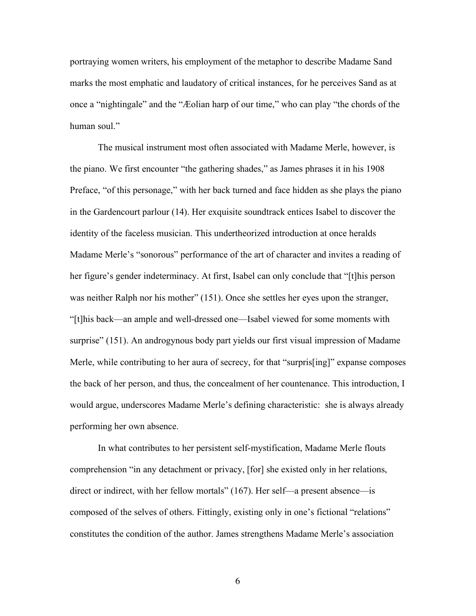portraying women writers, his employment of the metaphor to describe Madame Sand marks the most emphatic and laudatory of critical instances, for he perceives Sand as at once a "nightingale" and the "Æolian harp of our time," who can play "the chords of the human soul."

The musical instrument most often associated with Madame Merle, however, is the piano. We first encounter "the gathering shades," as James phrases it in his 1908 Preface, "of this personage," with her back turned and face hidden as she plays the piano in the Gardencourt parlour (14). Her exquisite soundtrack entices Isabel to discover the identity of the faceless musician. This undertheorized introduction at once heralds Madame Merle's "sonorous" performance of the art of character and invites a reading of her figure's gender indeterminacy. At first, Isabel can only conclude that "[t]his person was neither Ralph nor his mother" (151). Once she settles her eyes upon the stranger, "[t]his back—an ample and well-dressed one—Isabel viewed for some moments with surprise" (151). An androgynous body part yields our first visual impression of Madame Merle, while contributing to her aura of secrecy, for that "surpris[ing]" expanse composes the back of her person, and thus, the concealment of her countenance. This introduction, I would argue, underscores Madame Merle's defining characteristic: she is always already performing her own absence.

In what contributes to her persistent self-mystification, Madame Merle flouts comprehension "in any detachment or privacy, [for] she existed only in her relations, direct or indirect, with her fellow mortals" (167). Her self—a present absence—is composed of the selves of others. Fittingly, existing only in one's fictional "relations" constitutes the condition of the author. James strengthens Madame Merle's association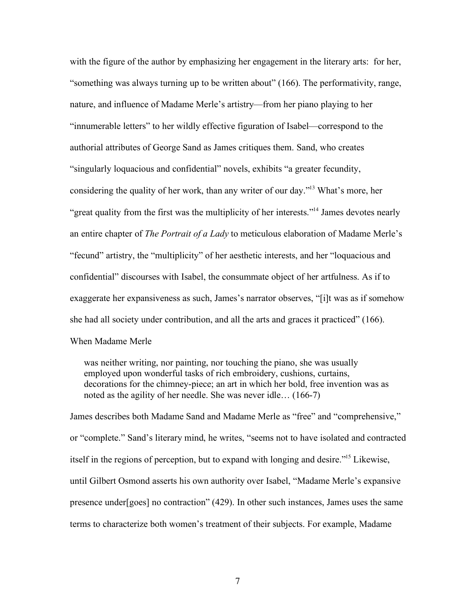with the figure of the author by emphasizing her engagement in the literary arts: for her, "something was always turning up to be written about" (166). The performativity, range, nature, and influence of Madame Merle's artistry—from her piano playing to her "innumerable letters" to her wildly effective figuration of Isabel—correspond to the authorial attributes of George Sand as James critiques them. Sand, who creates "singularly loquacious and confidential" novels, exhibits "a greater fecundity, considering the quality of her work, than any writer of our day."<sup>13</sup> What's more, her "great quality from the first was the multiplicity of her interests."<sup>14</sup> James devotes nearly an entire chapter of *The Portrait of a Lady* to meticulous elaboration of Madame Merle's "fecund" artistry, the "multiplicity" of her aesthetic interests, and her "loquacious and confidential" discourses with Isabel, the consummate object of her artfulness. As if to exaggerate her expansiveness as such, James's narrator observes, "[i]t was as if somehow she had all society under contribution, and all the arts and graces it practiced" (166). When Madame Merle

was neither writing, nor painting, nor touching the piano, she was usually employed upon wonderful tasks of rich embroidery, cushions, curtains, decorations for the chimney-piece; an art in which her bold, free invention was as noted as the agility of her needle. She was never idle… (166-7)

James describes both Madame Sand and Madame Merle as "free" and "comprehensive," or "complete." Sand's literary mind, he writes, "seems not to have isolated and contracted itself in the regions of perception, but to expand with longing and desire."<sup>15</sup> Likewise, until Gilbert Osmond asserts his own authority over Isabel, "Madame Merle's expansive presence under[goes] no contraction" (429). In other such instances, James uses the same terms to characterize both women's treatment of their subjects. For example, Madame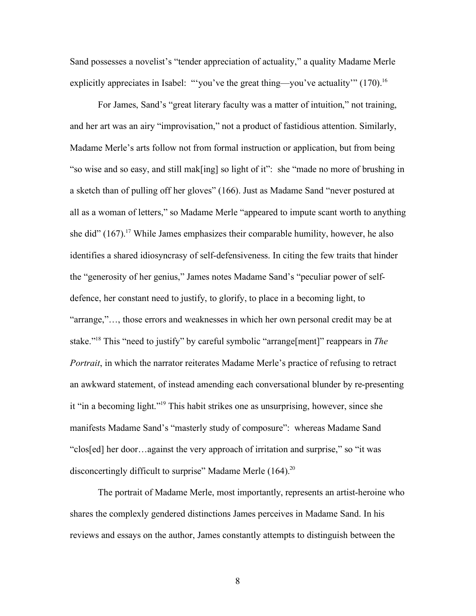Sand possesses a novelist's "tender appreciation of actuality," a quality Madame Merle explicitly appreciates in Isabel: ""you've the great thing—you've actuality"  $(170)^{16}$ 

For James, Sand's "great literary faculty was a matter of intuition," not training, and her art was an airy "improvisation," not a product of fastidious attention. Similarly, Madame Merle's arts follow not from formal instruction or application, but from being "so wise and so easy, and still mak[ing] so light of it": she "made no more of brushing in a sketch than of pulling off her gloves" (166). Just as Madame Sand "never postured at all as a woman of letters," so Madame Merle "appeared to impute scant worth to anything she did"  $(167)$ .<sup>17</sup> While James emphasizes their comparable humility, however, he also identifies a shared idiosyncrasy of self-defensiveness. In citing the few traits that hinder the "generosity of her genius," James notes Madame Sand's "peculiar power of selfdefence, her constant need to justify, to glorify, to place in a becoming light, to "arrange,"…, those errors and weaknesses in which her own personal credit may be at stake."<sup>18</sup> This "need to justify" by careful symbolic "arrange[ment]" reappears in *The Portrait*, in which the narrator reiterates Madame Merle's practice of refusing to retract an awkward statement, of instead amending each conversational blunder by re-presenting it "in a becoming light."<sup>19</sup> This habit strikes one as unsurprising, however, since she manifests Madame Sand's "masterly study of composure": whereas Madame Sand "clos[ed] her door…against the very approach of irritation and surprise," so "it was disconcertingly difficult to surprise" Madame Merle (164).<sup>20</sup>

The portrait of Madame Merle, most importantly, represents an artist-heroine who shares the complexly gendered distinctions James perceives in Madame Sand. In his reviews and essays on the author, James constantly attempts to distinguish between the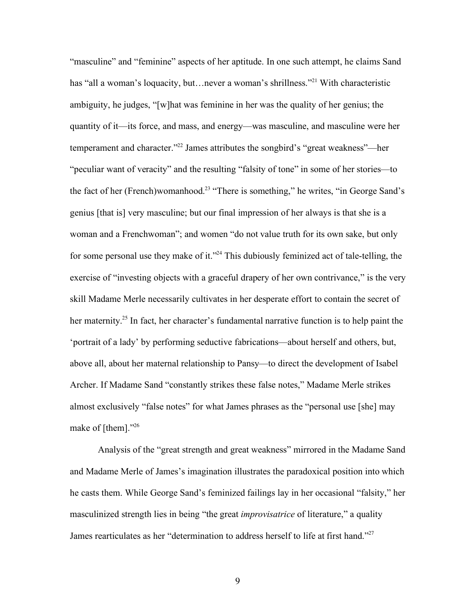"masculine" and "feminine" aspects of her aptitude. In one such attempt, he claims Sand has "all a woman's loquacity, but... never a woman's shrillness."<sup>21</sup> With characteristic ambiguity, he judges, "[w]hat was feminine in her was the quality of her genius; the quantity of it—its force, and mass, and energy—was masculine, and masculine were her temperament and character."<sup>22</sup> James attributes the songbird's "great weakness"—her "peculiar want of veracity" and the resulting "falsity of tone" in some of her stories—to the fact of her (French)womanhood.<sup>23</sup> "There is something," he writes, "in George Sand's genius [that is] very masculine; but our final impression of her always is that she is a woman and a Frenchwoman"; and women "do not value truth for its own sake, but only for some personal use they make of it."<sup>24</sup> This dubiously feminized act of tale-telling, the exercise of "investing objects with a graceful drapery of her own contrivance," is the very skill Madame Merle necessarily cultivates in her desperate effort to contain the secret of her maternity.<sup>25</sup> In fact, her character's fundamental narrative function is to help paint the 'portrait of a lady' by performing seductive fabrications—about herself and others, but, above all, about her maternal relationship to Pansy—to direct the development of Isabel Archer. If Madame Sand "constantly strikes these false notes," Madame Merle strikes almost exclusively "false notes" for what James phrases as the "personal use [she] may make of [them]."<sup>26</sup>

Analysis of the "great strength and great weakness" mirrored in the Madame Sand and Madame Merle of James's imagination illustrates the paradoxical position into which he casts them. While George Sand's feminized failings lay in her occasional "falsity," her masculinized strength lies in being "the great *improvisatrice* of literature," a quality James rearticulates as her "determination to address herself to life at first hand."<sup>27</sup>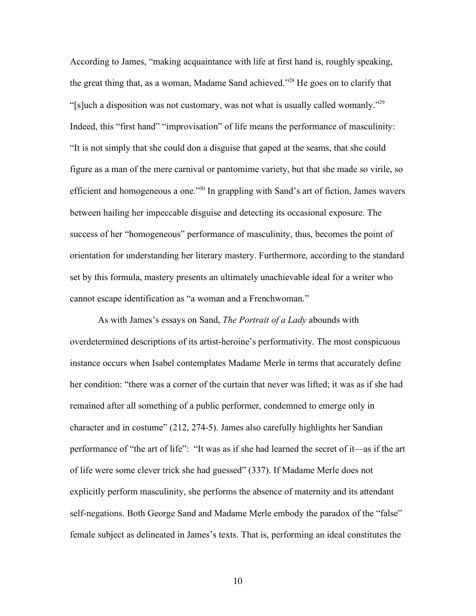According to James, "making acquaintance with life at first hand is, roughly speaking, the great thing that, as a woman, Madame Sand achieved.<sup>228</sup> He goes on to clarify that "[s]uch a disposition was not customary, was not what is usually called womanly."<sup>29</sup> Indeed, this "first hand" "improvisation" of life means the performance of masculinity: "It is not simply that she could don a disguise that gaped at the seams, that she could figure as a man of the mere carnival or pantomime variety, but that she made so virile, so efficient and homogeneous a one.<sup>330</sup> In grappling with Sand's art of fiction, James wavers between hailing her impeccable disguise and detecting its occasional exposure. The success of her "homogeneous" performance of masculinity, thus, becomes the point of orientation for understanding her literary mastery. Furthermore, according to the standard set by this formula, mastery presents an ultimately unachievable ideal for a writer who cannot escape identification as "a woman and a Frenchwoman."

As with James's essays on Sand, *The Portrait of a Lady* abounds with overdetermined descriptions of its artist-heroine's performativity. The most conspicuous instance occurs when Isabel contemplates Madame Merle in terms that accurately define her condition: "there was a corner of the curtain that never was lifted; it was as if she had remained after all something of a public performer, condemned to emerge only in character and in costume" (212, 274-5). James also carefully highlights her Sandian performance of "the art of life": "It was as if she had learned the secret of it—as if the art of life were some clever trick she had guessed" (337). If Madame Merle does not explicitly perform masculinity, she performs the absence of maternity and its attendant self-negations. Both George Sand and Madame Merle embody the paradox of the "false" female subject as delineated in James's texts. That is, performing an ideal constitutes the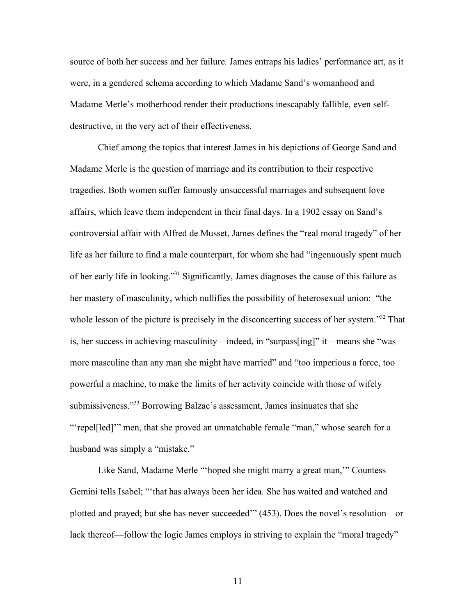source of both her success and her failure. James entraps his ladies' performance art, as it were, in a gendered schema according to which Madame Sand's womanhood and Madame Merle's motherhood render their productions inescapably fallible, even selfdestructive, in the very act of their effectiveness.

Chief among the topics that interest James in his depictions of George Sand and Madame Merle is the question of marriage and its contribution to their respective tragedies. Both women suffer famously unsuccessful marriages and subsequent love affairs, which leave them independent in their final days. In a 1902 essay on Sand's controversial affair with Alfred de Musset, James defines the "real moral tragedy" of her life as her failure to find a male counterpart, for whom she had "ingenuously spent much of her early life in looking."<sup>31</sup> Significantly, James diagnoses the cause of this failure as her mastery of masculinity, which nullifies the possibility of heterosexual union: "the whole lesson of the picture is precisely in the disconcerting success of her system."<sup>32</sup> That is, her success in achieving masculinity—indeed, in "surpass[ing]" it—means she "was more masculine than any man she might have married" and "too imperious a force, too powerful a machine, to make the limits of her activity coincide with those of wifely submissiveness."<sup>33</sup> Borrowing Balzac's assessment, James insinuates that she "'repel[led]'" men, that she proved an unmatchable female "man," whose search for a husband was simply a "mistake."

Like Sand, Madame Merle "'hoped she might marry a great man,'" Countess Gemini tells Isabel; "'that has always been her idea. She has waited and watched and plotted and prayed; but she has never succeeded'" (453). Does the novel's resolution—or lack thereof—follow the logic James employs in striving to explain the "moral tragedy"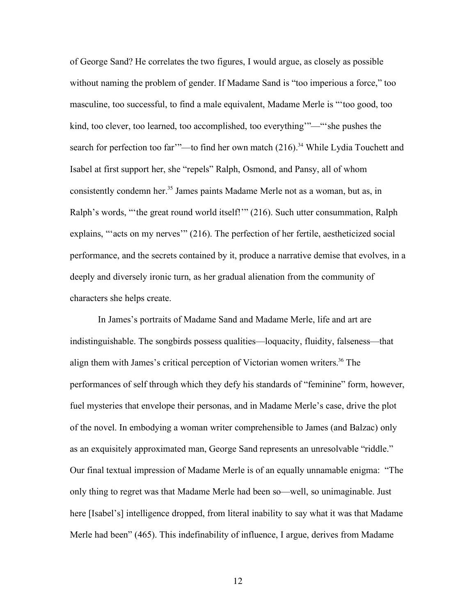of George Sand? He correlates the two figures, I would argue, as closely as possible without naming the problem of gender. If Madame Sand is "too imperious a force," too masculine, too successful, to find a male equivalent, Madame Merle is "'too good, too kind, too clever, too learned, too accomplished, too everything'"—"'she pushes the search for perfection too far" —to find her own match (216).<sup>34</sup> While Lydia Touchett and Isabel at first support her, she "repels" Ralph, Osmond, and Pansy, all of whom consistently condemn her.<sup>35</sup> James paints Madame Merle not as a woman, but as, in Ralph's words, "'the great round world itself!'" (216). Such utter consummation, Ralph explains, "'acts on my nerves'" (216). The perfection of her fertile, aestheticized social performance, and the secrets contained by it, produce a narrative demise that evolves, in a deeply and diversely ironic turn, as her gradual alienation from the community of characters she helps create.

In James's portraits of Madame Sand and Madame Merle, life and art are indistinguishable. The songbirds possess qualities—loquacity, fluidity, falseness—that align them with James's critical perception of Victorian women writers.<sup>36</sup> The performances of self through which they defy his standards of "feminine" form, however, fuel mysteries that envelope their personas, and in Madame Merle's case, drive the plot of the novel. In embodying a woman writer comprehensible to James (and Balzac) only as an exquisitely approximated man, George Sand represents an unresolvable "riddle." Our final textual impression of Madame Merle is of an equally unnamable enigma: "The only thing to regret was that Madame Merle had been so—well, so unimaginable. Just here [Isabel's] intelligence dropped, from literal inability to say what it was that Madame Merle had been" (465). This indefinability of influence, I argue, derives from Madame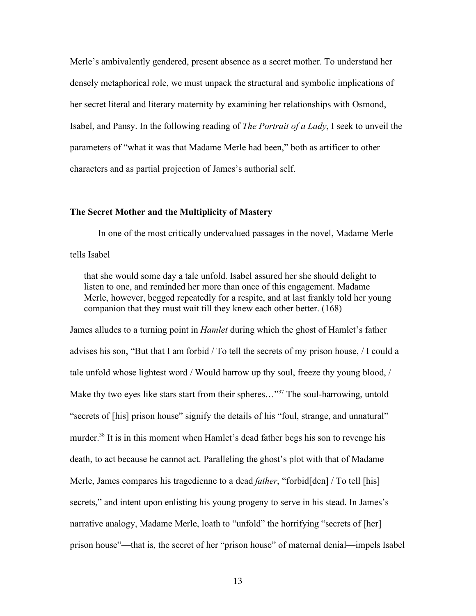Merle's ambivalently gendered, present absence as a secret mother. To understand her densely metaphorical role, we must unpack the structural and symbolic implications of her secret literal and literary maternity by examining her relationships with Osmond, Isabel, and Pansy. In the following reading of *The Portrait of a Lady*, I seek to unveil the parameters of "what it was that Madame Merle had been," both as artificer to other characters and as partial projection of James's authorial self.

#### **The Secret Mother and the Multiplicity of Mastery**

In one of the most critically undervalued passages in the novel, Madame Merle tells Isabel

that she would some day a tale unfold. Isabel assured her she should delight to listen to one, and reminded her more than once of this engagement. Madame Merle, however, begged repeatedly for a respite, and at last frankly told her young companion that they must wait till they knew each other better. (168)

James alludes to a turning point in *Hamlet* during which the ghost of Hamlet's father advises his son, "But that I am forbid / To tell the secrets of my prison house, / I could a tale unfold whose lightest word / Would harrow up thy soul, freeze thy young blood, / Make thy two eyes like stars start from their spheres..."<sup>37</sup> The soul-harrowing, untold "secrets of [his] prison house" signify the details of his "foul, strange, and unnatural" murder.<sup>38</sup> It is in this moment when Hamlet's dead father begs his son to revenge his death, to act because he cannot act. Paralleling the ghost's plot with that of Madame Merle, James compares his tragedienne to a dead *father*, "forbid[den] / To tell [his] secrets," and intent upon enlisting his young progeny to serve in his stead. In James's narrative analogy, Madame Merle, loath to "unfold" the horrifying "secrets of [her] prison house"—that is, the secret of her "prison house" of maternal denial—impels Isabel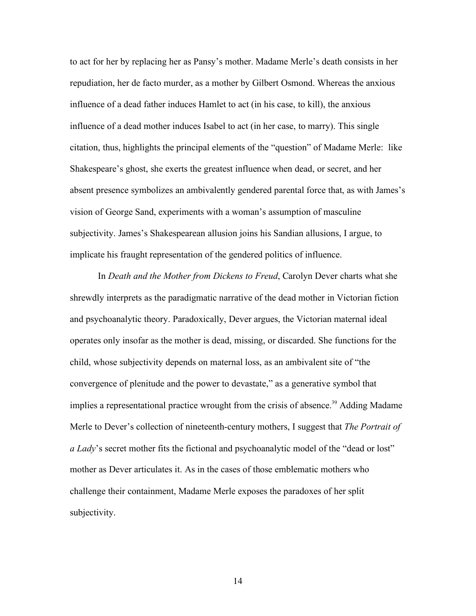to act for her by replacing her as Pansy's mother. Madame Merle's death consists in her repudiation, her de facto murder, as a mother by Gilbert Osmond. Whereas the anxious influence of a dead father induces Hamlet to act (in his case, to kill), the anxious influence of a dead mother induces Isabel to act (in her case, to marry). This single citation, thus, highlights the principal elements of the "question" of Madame Merle: like Shakespeare's ghost, she exerts the greatest influence when dead, or secret, and her absent presence symbolizes an ambivalently gendered parental force that, as with James's vision of George Sand, experiments with a woman's assumption of masculine subjectivity. James's Shakespearean allusion joins his Sandian allusions, I argue, to implicate his fraught representation of the gendered politics of influence.

In *Death and the Mother from Dickens to Freud*, Carolyn Dever charts what she shrewdly interprets as the paradigmatic narrative of the dead mother in Victorian fiction and psychoanalytic theory. Paradoxically, Dever argues, the Victorian maternal ideal operates only insofar as the mother is dead, missing, or discarded. She functions for the child, whose subjectivity depends on maternal loss, as an ambivalent site of "the convergence of plenitude and the power to devastate," as a generative symbol that implies a representational practice wrought from the crisis of absence.<sup>39</sup> Adding Madame Merle to Dever's collection of nineteenth-century mothers, I suggest that *The Portrait of a Lady*'s secret mother fits the fictional and psychoanalytic model of the "dead or lost" mother as Dever articulates it. As in the cases of those emblematic mothers who challenge their containment, Madame Merle exposes the paradoxes of her split subjectivity.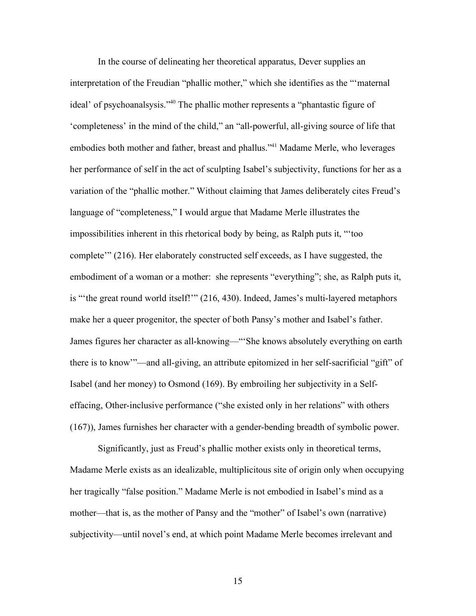In the course of delineating her theoretical apparatus, Dever supplies an interpretation of the Freudian "phallic mother," which she identifies as the "'maternal ideal' of psychoanalsysis."<sup>40</sup> The phallic mother represents a "phantastic figure of 'completeness' in the mind of the child," an "all-powerful, all-giving source of life that embodies both mother and father, breast and phallus."<sup>41</sup> Madame Merle, who leverages her performance of self in the act of sculpting Isabel's subjectivity, functions for her as a variation of the "phallic mother." Without claiming that James deliberately cites Freud's language of "completeness," I would argue that Madame Merle illustrates the impossibilities inherent in this rhetorical body by being, as Ralph puts it, "'too complete'" (216). Her elaborately constructed self exceeds, as I have suggested, the embodiment of a woman or a mother: she represents "everything"; she, as Ralph puts it, is "'the great round world itself!'" (216, 430). Indeed, James's multi-layered metaphors make her a queer progenitor, the specter of both Pansy's mother and Isabel's father. James figures her character as all-knowing—"'She knows absolutely everything on earth there is to know'"—and all-giving, an attribute epitomized in her self-sacrificial "gift" of Isabel (and her money) to Osmond (169). By embroiling her subjectivity in a Selfeffacing, Other-inclusive performance ("she existed only in her relations" with others (167)), James furnishes her character with a gender-bending breadth of symbolic power.

Significantly, just as Freud's phallic mother exists only in theoretical terms, Madame Merle exists as an idealizable, multiplicitous site of origin only when occupying her tragically "false position." Madame Merle is not embodied in Isabel's mind as a mother—that is, as the mother of Pansy and the "mother" of Isabel's own (narrative) subjectivity—until novel's end, at which point Madame Merle becomes irrelevant and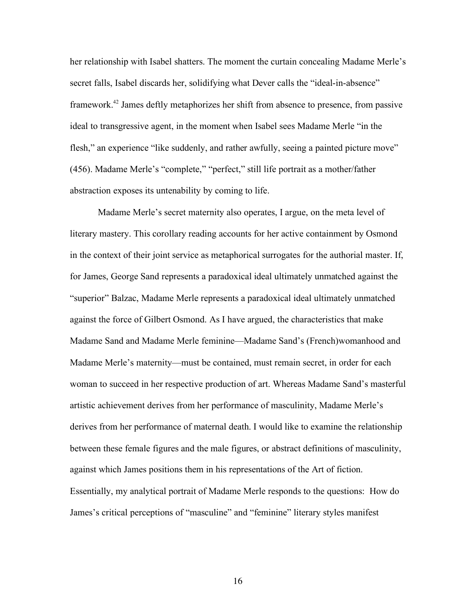her relationship with Isabel shatters. The moment the curtain concealing Madame Merle's secret falls, Isabel discards her, solidifying what Dever calls the "ideal-in-absence" framework.<sup>42</sup> James deftly metaphorizes her shift from absence to presence, from passive ideal to transgressive agent, in the moment when Isabel sees Madame Merle "in the flesh," an experience "like suddenly, and rather awfully, seeing a painted picture move" (456). Madame Merle's "complete," "perfect," still life portrait as a mother/father abstraction exposes its untenability by coming to life.

Madame Merle's secret maternity also operates, I argue, on the meta level of literary mastery. This corollary reading accounts for her active containment by Osmond in the context of their joint service as metaphorical surrogates for the authorial master. If, for James, George Sand represents a paradoxical ideal ultimately unmatched against the "superior" Balzac, Madame Merle represents a paradoxical ideal ultimately unmatched against the force of Gilbert Osmond. As I have argued, the characteristics that make Madame Sand and Madame Merle feminine—Madame Sand's (French)womanhood and Madame Merle's maternity—must be contained, must remain secret, in order for each woman to succeed in her respective production of art. Whereas Madame Sand's masterful artistic achievement derives from her performance of masculinity, Madame Merle's derives from her performance of maternal death. I would like to examine the relationship between these female figures and the male figures, or abstract definitions of masculinity, against which James positions them in his representations of the Art of fiction. Essentially, my analytical portrait of Madame Merle responds to the questions: How do James's critical perceptions of "masculine" and "feminine" literary styles manifest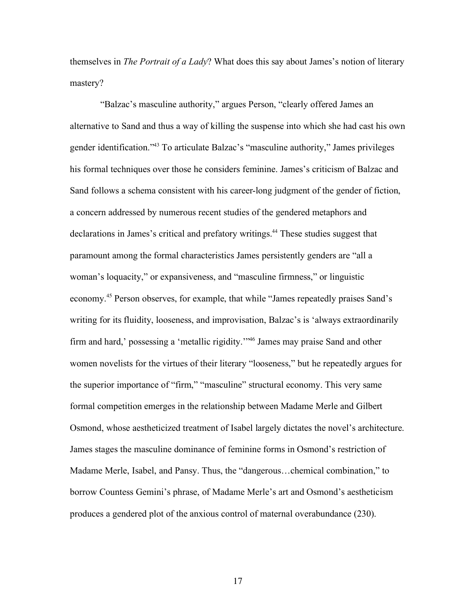themselves in *The Portrait of a Lady*? What does this say about James's notion of literary mastery?

 "Balzac's masculine authority," argues Person, "clearly offered James an alternative to Sand and thus a way of killing the suspense into which she had cast his own gender identification."<sup>43</sup> To articulate Balzac's "masculine authority," James privileges his formal techniques over those he considers feminine. James's criticism of Balzac and Sand follows a schema consistent with his career-long judgment of the gender of fiction, a concern addressed by numerous recent studies of the gendered metaphors and declarations in James's critical and prefatory writings.<sup>44</sup> These studies suggest that paramount among the formal characteristics James persistently genders are "all a woman's loquacity," or expansiveness, and "masculine firmness," or linguistic economy.<sup>45</sup> Person observes, for example, that while "James repeatedly praises Sand's writing for its fluidity, looseness, and improvisation, Balzac's is 'always extraordinarily firm and hard,' possessing a 'metallic rigidity.'"<sup>46</sup> James may praise Sand and other women novelists for the virtues of their literary "looseness," but he repeatedly argues for the superior importance of "firm," "masculine" structural economy. This very same formal competition emerges in the relationship between Madame Merle and Gilbert Osmond, whose aestheticized treatment of Isabel largely dictates the novel's architecture. James stages the masculine dominance of feminine forms in Osmond's restriction of Madame Merle, Isabel, and Pansy. Thus, the "dangerous…chemical combination," to borrow Countess Gemini's phrase, of Madame Merle's art and Osmond's aestheticism produces a gendered plot of the anxious control of maternal overabundance (230).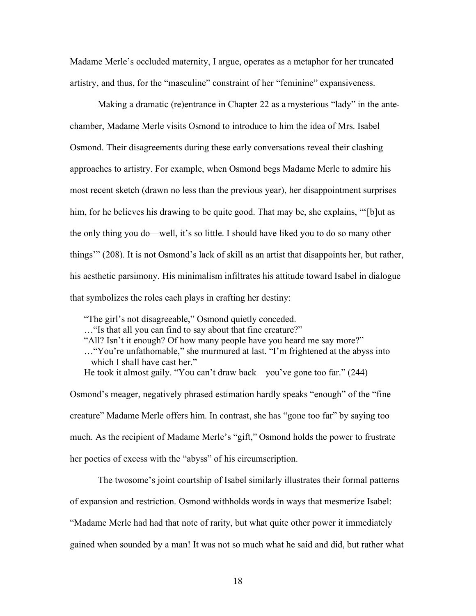Madame Merle's occluded maternity, I argue, operates as a metaphor for her truncated artistry, and thus, for the "masculine" constraint of her "feminine" expansiveness.

Making a dramatic (re)entrance in Chapter 22 as a mysterious "lady" in the antechamber, Madame Merle visits Osmond to introduce to him the idea of Mrs. Isabel Osmond. Their disagreements during these early conversations reveal their clashing approaches to artistry. For example, when Osmond begs Madame Merle to admire his most recent sketch (drawn no less than the previous year), her disappointment surprises him, for he believes his drawing to be quite good. That may be, she explains, "[b]ut as the only thing you do—well, it's so little. I should have liked you to do so many other things'" (208). It is not Osmond's lack of skill as an artist that disappoints her, but rather, his aesthetic parsimony. His minimalism infiltrates his attitude toward Isabel in dialogue that symbolizes the roles each plays in crafting her destiny:

"The girl's not disagreeable," Osmond quietly conceded. …"Is that all you can find to say about that fine creature?"

"All? Isn't it enough? Of how many people have you heard me say more?"

…"You're unfathomable," she murmured at last. "I'm frightened at the abyss into which I shall have cast her."

He took it almost gaily. "You can't draw back—you've gone too far." (244)

Osmond's meager, negatively phrased estimation hardly speaks "enough" of the "fine creature" Madame Merle offers him. In contrast, she has "gone too far" by saying too much. As the recipient of Madame Merle's "gift," Osmond holds the power to frustrate her poetics of excess with the "abyss" of his circumscription.

The twosome's joint courtship of Isabel similarly illustrates their formal patterns of expansion and restriction. Osmond withholds words in ways that mesmerize Isabel: "Madame Merle had had that note of rarity, but what quite other power it immediately gained when sounded by a man! It was not so much what he said and did, but rather what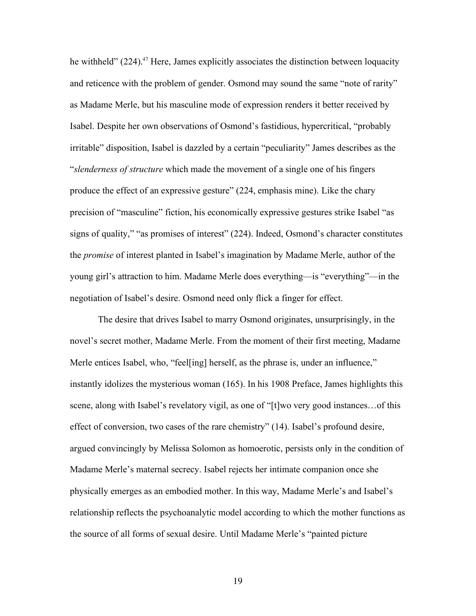he withheld"  $(224)$ <sup>47</sup> Here, James explicitly associates the distinction between loquacity and reticence with the problem of gender. Osmond may sound the same "note of rarity" as Madame Merle, but his masculine mode of expression renders it better received by Isabel. Despite her own observations of Osmond's fastidious, hypercritical, "probably irritable" disposition, Isabel is dazzled by a certain "peculiarity" James describes as the "*slenderness of structure* which made the movement of a single one of his fingers produce the effect of an expressive gesture" (224, emphasis mine). Like the chary precision of "masculine" fiction, his economically expressive gestures strike Isabel "as signs of quality," "as promises of interest" (224). Indeed, Osmond's character constitutes the *promise* of interest planted in Isabel's imagination by Madame Merle, author of the young girl's attraction to him. Madame Merle does everything—is "everything"—in the negotiation of Isabel's desire. Osmond need only flick a finger for effect.

The desire that drives Isabel to marry Osmond originates, unsurprisingly, in the novel's secret mother, Madame Merle. From the moment of their first meeting, Madame Merle entices Isabel, who, "feel[ing] herself, as the phrase is, under an influence," instantly idolizes the mysterious woman (165). In his 1908 Preface, James highlights this scene, along with Isabel's revelatory vigil, as one of "[t]wo very good instances…of this effect of conversion, two cases of the rare chemistry" (14). Isabel's profound desire, argued convincingly by Melissa Solomon as homoerotic, persists only in the condition of Madame Merle's maternal secrecy. Isabel rejects her intimate companion once she physically emerges as an embodied mother. In this way, Madame Merle's and Isabel's relationship reflects the psychoanalytic model according to which the mother functions as the source of all forms of sexual desire. Until Madame Merle's "painted picture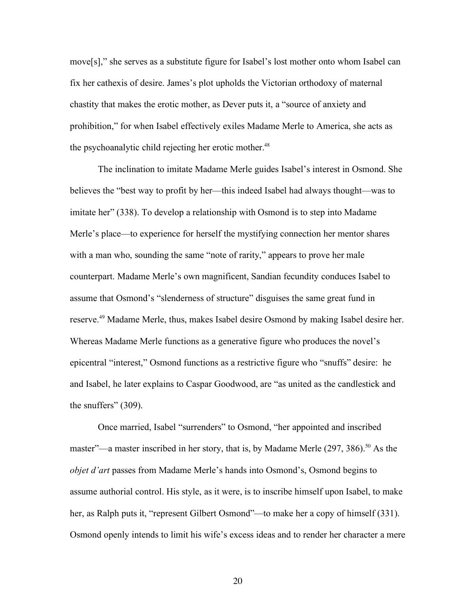move[s]," she serves as a substitute figure for Isabel's lost mother onto whom Isabel can fix her cathexis of desire. James's plot upholds the Victorian orthodoxy of maternal chastity that makes the erotic mother, as Dever puts it, a "source of anxiety and prohibition," for when Isabel effectively exiles Madame Merle to America, she acts as the psychoanalytic child rejecting her erotic mother.<sup>48</sup>

The inclination to imitate Madame Merle guides Isabel's interest in Osmond. She believes the "best way to profit by her—this indeed Isabel had always thought—was to imitate her" (338). To develop a relationship with Osmond is to step into Madame Merle's place—to experience for herself the mystifying connection her mentor shares with a man who, sounding the same "note of rarity," appears to prove her male counterpart. Madame Merle's own magnificent, Sandian fecundity conduces Isabel to assume that Osmond's "slenderness of structure" disguises the same great fund in reserve.<sup>49</sup> Madame Merle, thus, makes Isabel desire Osmond by making Isabel desire her. Whereas Madame Merle functions as a generative figure who produces the novel's epicentral "interest," Osmond functions as a restrictive figure who "snuffs" desire: he and Isabel, he later explains to Caspar Goodwood, are "as united as the candlestick and the snuffers" (309).

Once married, Isabel "surrenders" to Osmond, "her appointed and inscribed master"—a master inscribed in her story, that is, by Madame Merle  $(297, 386)$ .<sup>50</sup> As the *objet d'art* passes from Madame Merle's hands into Osmond's, Osmond begins to assume authorial control. His style, as it were, is to inscribe himself upon Isabel, to make her, as Ralph puts it, "represent Gilbert Osmond"—to make her a copy of himself (331). Osmond openly intends to limit his wife's excess ideas and to render her character a mere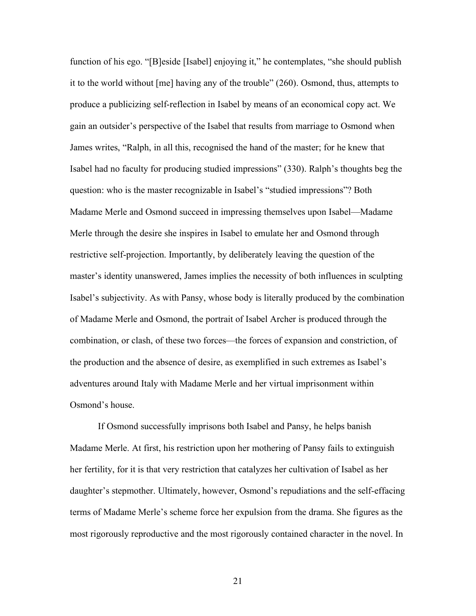function of his ego. "[B]eside [Isabel] enjoying it," he contemplates, "she should publish it to the world without [me] having any of the trouble" (260). Osmond, thus, attempts to produce a publicizing self-reflection in Isabel by means of an economical copy act. We gain an outsider's perspective of the Isabel that results from marriage to Osmond when James writes, "Ralph, in all this, recognised the hand of the master; for he knew that Isabel had no faculty for producing studied impressions" (330). Ralph's thoughts beg the question: who is the master recognizable in Isabel's "studied impressions"? Both Madame Merle and Osmond succeed in impressing themselves upon Isabel—Madame Merle through the desire she inspires in Isabel to emulate her and Osmond through restrictive self-projection. Importantly, by deliberately leaving the question of the master's identity unanswered, James implies the necessity of both influences in sculpting Isabel's subjectivity. As with Pansy, whose body is literally produced by the combination of Madame Merle and Osmond, the portrait of Isabel Archer is produced through the combination, or clash, of these two forces—the forces of expansion and constriction, of the production and the absence of desire, as exemplified in such extremes as Isabel's adventures around Italy with Madame Merle and her virtual imprisonment within Osmond's house.

If Osmond successfully imprisons both Isabel and Pansy, he helps banish Madame Merle. At first, his restriction upon her mothering of Pansy fails to extinguish her fertility, for it is that very restriction that catalyzes her cultivation of Isabel as her daughter's stepmother. Ultimately, however, Osmond's repudiations and the self-effacing terms of Madame Merle's scheme force her expulsion from the drama. She figures as the most rigorously reproductive and the most rigorously contained character in the novel. In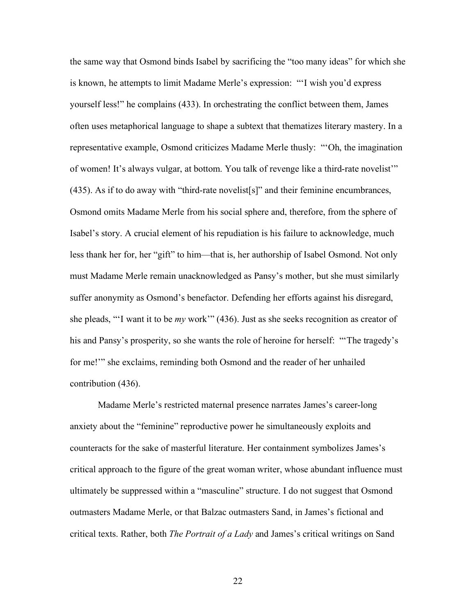the same way that Osmond binds Isabel by sacrificing the "too many ideas" for which she is known, he attempts to limit Madame Merle's expression: "'I wish you'd express yourself less!" he complains (433). In orchestrating the conflict between them, James often uses metaphorical language to shape a subtext that thematizes literary mastery. In a representative example, Osmond criticizes Madame Merle thusly: "'Oh, the imagination of women! It's always vulgar, at bottom. You talk of revenge like a third-rate novelist'" (435). As if to do away with "third-rate novelist[s]" and their feminine encumbrances, Osmond omits Madame Merle from his social sphere and, therefore, from the sphere of Isabel's story. A crucial element of his repudiation is his failure to acknowledge, much less thank her for, her "gift" to him—that is, her authorship of Isabel Osmond. Not only must Madame Merle remain unacknowledged as Pansy's mother, but she must similarly suffer anonymity as Osmond's benefactor. Defending her efforts against his disregard, she pleads, "'I want it to be *my* work'" (436). Just as she seeks recognition as creator of his and Pansy's prosperity, so she wants the role of heroine for herself: "'The tragedy's for me!'" she exclaims, reminding both Osmond and the reader of her unhailed contribution (436).

Madame Merle's restricted maternal presence narrates James's career-long anxiety about the "feminine" reproductive power he simultaneously exploits and counteracts for the sake of masterful literature. Her containment symbolizes James's critical approach to the figure of the great woman writer, whose abundant influence must ultimately be suppressed within a "masculine" structure. I do not suggest that Osmond outmasters Madame Merle, or that Balzac outmasters Sand, in James's fictional and critical texts. Rather, both *The Portrait of a Lady* and James's critical writings on Sand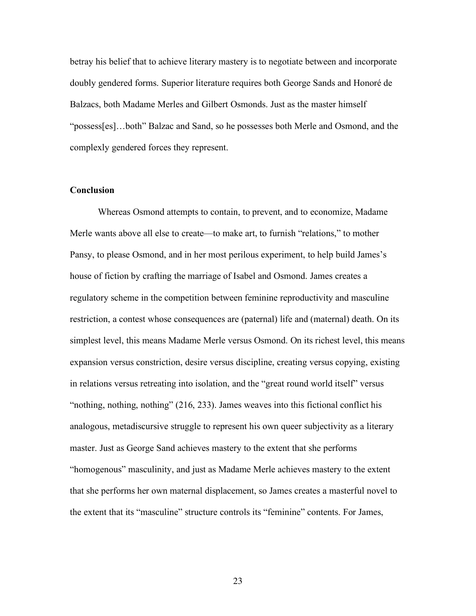betray his belief that to achieve literary mastery is to negotiate between and incorporate doubly gendered forms. Superior literature requires both George Sands and Honoré de Balzacs, both Madame Merles and Gilbert Osmonds. Just as the master himself "possess[es]…both" Balzac and Sand, so he possesses both Merle and Osmond, and the complexly gendered forces they represent.

#### **Conclusion**

Whereas Osmond attempts to contain, to prevent, and to economize, Madame Merle wants above all else to create—to make art, to furnish "relations," to mother Pansy, to please Osmond, and in her most perilous experiment, to help build James's house of fiction by crafting the marriage of Isabel and Osmond. James creates a regulatory scheme in the competition between feminine reproductivity and masculine restriction, a contest whose consequences are (paternal) life and (maternal) death. On its simplest level, this means Madame Merle versus Osmond. On its richest level, this means expansion versus constriction, desire versus discipline, creating versus copying, existing in relations versus retreating into isolation, and the "great round world itself" versus "nothing, nothing, nothing" (216, 233). James weaves into this fictional conflict his analogous, metadiscursive struggle to represent his own queer subjectivity as a literary master. Just as George Sand achieves mastery to the extent that she performs "homogenous" masculinity, and just as Madame Merle achieves mastery to the extent that she performs her own maternal displacement, so James creates a masterful novel to the extent that its "masculine" structure controls its "feminine" contents. For James,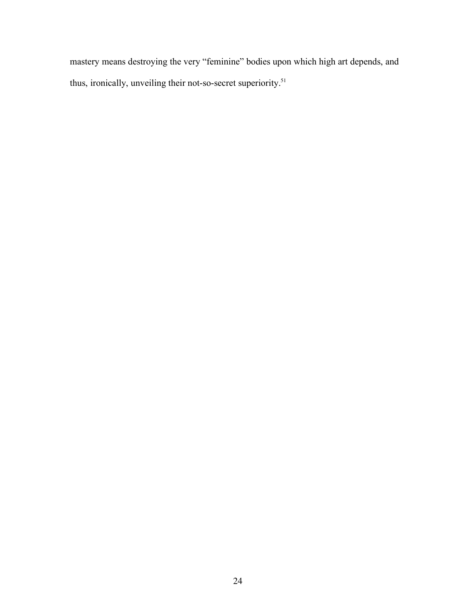mastery means destroying the very "feminine" bodies upon which high art depends, and thus, ironically, unveiling their not-so-secret superiority.<sup>51</sup>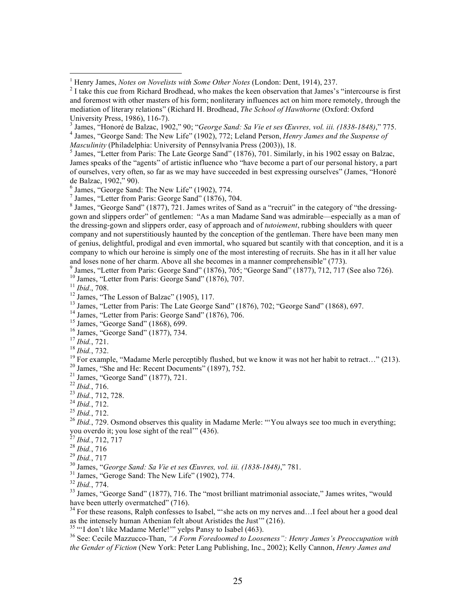<sup>5</sup> James, "Letter from Paris: The Late George Sand" (1876), 701. Similarly, in his 1902 essay on Balzac, James speaks of the "agents" of artistic influence who "have become a part of our personal history, a part of ourselves, very often, so far as we may have succeeded in best expressing ourselves" (James, "Honoré de Balzac, 1902," 90).

6 James, "George Sand: The New Life" (1902), 774.

7 James, "Letter from Paris: George Sand" (1876), 704.

 $8$  James, "George Sand" (1877), 721. James writes of Sand as a "recruit" in the category of "the dressinggown and slippers order" of gentlemen: "As a man Madame Sand was admirable—especially as a man of the dressing-gown and slippers order, easy of approach and of *tutoiement*, rubbing shoulders with queer company and not superstitiously haunted by the conception of the gentleman. There have been many men of genius, delightful, prodigal and even immortal, who squared but scantily with that conception, and it is a company to which our heroine is simply one of the most interesting of recruits. She has in it all her value and loses none of her charm. Above all she becomes in a manner comprehensible" (773).

<sup>9</sup> James, "Letter from Paris: George Sand" (1876), 705; "George Sand" (1877), 712, 717 (See also 726).<br><sup>10</sup> James, "Letter from Paris: George Sand" (1876), 707.

<sup>10</sup> James, "Letter from Paris: George Sand" (1876), 707.<br><sup>11</sup> *Ibid.*, 708.<br><sup>12</sup> James, "The Lesson of Balzac" (1905), 117.

<sup>13</sup> James, "Letter from Paris: The Late George Sand" (1876), 702; "George Sand" (1868), 697.

<sup>14</sup> James, "Letter from Paris: George Sand" (1876), 706.<br><sup>15</sup> James, "George Sand" (1868), 699.

<sup>16</sup> James, "George Sand" (1877), 734.<br><sup>17</sup> *Ibid.*, 721.

<sup>18</sup> *Ibid.*, 732.<br><sup>19</sup> For example, "Madame Merle perceptibly flushed, but we know it was not her habit to retract..." (213).

<sup>20</sup> James, "She and He: Recent Documents" (1897), 752.<br><sup>21</sup> James, "George Sand" (1877), 721.<br><sup>22</sup> *Ibid.*. 716.

<sup>23</sup> *Ibid.*, 712, 728.<br><sup>24</sup> *Ibid.*, 712.<br><sup>25</sup> *Ibid.*, 712.<br><sup>26</sup> *Ibid.*, 729. Osmond observes this quality in Madame Merle: "You always see too much in everything; you overdo it; you lose sight of the real" (436).<br>
<sup>27</sup> Ibid., 712, 717<br>
<sup>28</sup> Ibid., 716<br>
<sup>29</sup> Ibid., 717<br>
<sup>30</sup> James, "George Sand: Sa Vie et ses Œuvres, vol. iii. (1838-1848)," 781.<br>
<sup>31</sup> James, "George Sand: The New Li

<sup>33</sup> James, "George Sand" (1877), 716. The "most brilliant matrimonial associate," James writes, "would have been utterly overmatched" (716).

 $34$  For these reasons, Ralph confesses to Isabel, "'she acts on my nerves and...I feel about her a good deal as the intensely human Athenian felt about Aristides the Just" (216). as the intensely human Athenian felt about Aristides the Just'" (216).<br><sup>35</sup> "'I don't like Madame Merle!'" yelps Pansy to Isabel (463).

36 See: Cecile Mazzucco-Than, *"A Form Foredoomed to Looseness": Henry James's Preoccupation with the Gender of Fiction* (New York: Peter Lang Publishing, Inc., 2002); Kelly Cannon, *Henry James and* 

 $\frac{1}{1}$ <sup>1</sup> Henry James, *Notes on Novelists with Some Other Notes* (London: Dent, 1914), 237.

 $2<sup>2</sup>$  I take this cue from Richard Brodhead, who makes the keen observation that James's "intercourse is first and foremost with other masters of his form; nonliterary influences act on him more remotely, through the mediation of literary relations" (Richard H. Brodhead, *The School of Hawthorne* (Oxford: Oxford University Press, 1986), 116-7).<br><sup>3</sup> James, "Honoré de Balzac, 1902," 90; "*George Sand: Sa Vie et ses Œuvres, vol. iii. (1838-1848)*," 775.

<sup>&</sup>lt;sup>3</sup> James, "Honoré de Balzac, 1902," 90; "*George Sand: Sa Vie et ses Œuvres, vol. iii. (1838-1848)," 775.*<br><sup>4</sup> James, "George Sand: The New Life" (1902), 772; Leland Person, *Henry James and the Suspense of Masculinity* (Philadelphia: University of Pennsylvania Press (2003)), 18.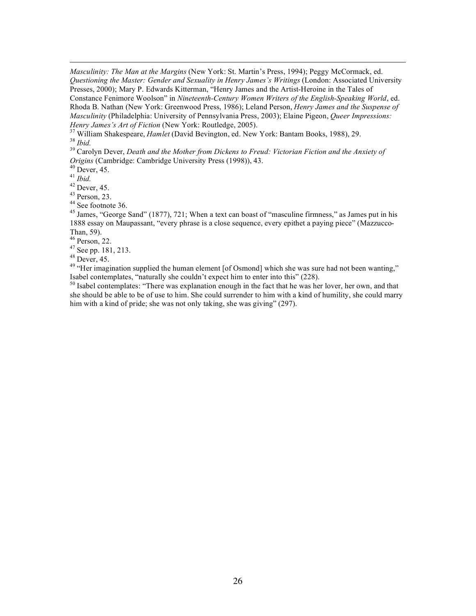*Masculinity: The Man at the Margins* (New York: St. Martin's Press, 1994); Peggy McCormack, ed. *Questioning the Master: Gender and Sexuality in Henry James's Writings* (London: Associated University Presses, 2000); Mary P. Edwards Kitterman, "Henry James and the Artist-Heroine in the Tales of Constance Fenimore Woolson" in *Nineteenth-Century Women Writers of the English-Speaking World*, ed. Rhoda B. Nathan (New York: Greenwood Press, 1986); Leland Person, *Henry James and the Suspense of Masculinity* (Philadelphia: University of Pennsylvania Press, 2003); Elaine Pigeon, *Queer Impressions:* 

*Henry James's Art of Fiction* (New York: Routledge, 2005).<br><sup>37</sup> William Shakespeare, *Hamlet* (David Bevington, ed. New York: Bantam Books, 1988), 29.<br><sup>38</sup> *Ibid.*<br><sup>39</sup> Carolyn Dever, *Death and the Mother from Dickens to* 

*Origins* (Cambridge: Cambridge University Press (1998)), 43.<br><sup>40</sup> Dever, 45.<br><sup>41</sup> Ibid.

 $\overline{a}$ 

<sup>41</sup> *Ibid.* 42 Dever, 45.

 $43$  Person, 23.

 $44$  See footnote 36.

<sup>45</sup> James, "George Sand" (1877), 721; When a text can boast of "masculine firmness," as James put in his 1888 essay on Maupassant, "every phrase is a close sequence, every epithet a paying piece" (Mazzucco-Than, 59).

 $46$  Person, 22.

 $^{47}$  See pp. 181, 213.<br> $^{48}$  Dever, 45.

<sup>49</sup> "Her imagination supplied the human element [of Osmond] which she was sure had not been wanting," Isabel contemplates, "naturally she couldn't expect him to enter into this" (228).

<sup>50</sup> Isabel contemplates: "There was explanation enough in the fact that he was her lover, her own, and that she should be able to be of use to him. She could surrender to him with a kind of humility, she could marry him with a kind of pride; she was not only taking, she was giving" (297).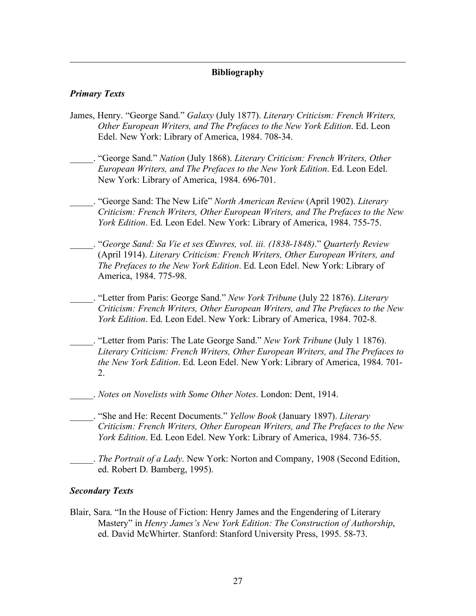### **Bibliography**

### *Primary Texts*

 $\overline{a}$ 

- James, Henry. "George Sand." *Galaxy* (July 1877). *Literary Criticism: French Writers, Other European Writers, and The Prefaces to the New York Edition*. Ed. Leon Edel. New York: Library of America, 1984. 708-34.
	- \_\_\_\_\_. "George Sand." *Nation* (July 1868). *Literary Criticism: French Writers, Other European Writers, and The Prefaces to the New York Edition*. Ed. Leon Edel. New York: Library of America, 1984. 696-701.
- \_\_\_\_\_. "George Sand: The New Life" *North American Review* (April 1902). *Literary Criticism: French Writers, Other European Writers, and The Prefaces to the New York Edition*. Ed. Leon Edel. New York: Library of America, 1984. 755-75.
- \_\_\_\_\_. "*George Sand: Sa Vie et ses Œuvres, vol. iii. (1838-1848)*." *Quarterly Review* (April 1914). *Literary Criticism: French Writers, Other European Writers, and The Prefaces to the New York Edition*. Ed. Leon Edel. New York: Library of America, 1984. 775-98.
- \_\_\_\_\_. "Letter from Paris: George Sand." *New York Tribune* (July 22 1876). *Literary Criticism: French Writers, Other European Writers, and The Prefaces to the New York Edition*. Ed. Leon Edel. New York: Library of America, 1984. 702-8.
- \_\_\_\_\_. "Letter from Paris: The Late George Sand." *New York Tribune* (July 1 1876). *Literary Criticism: French Writers, Other European Writers, and The Prefaces to the New York Edition*. Ed. Leon Edel. New York: Library of America, 1984. 701- 2.
	- \_\_\_\_\_. *Notes on Novelists with Some Other Notes*. London: Dent, 1914.
- \_\_\_\_\_. "She and He: Recent Documents." *Yellow Book* (January 1897). *Literary Criticism: French Writers, Other European Writers, and The Prefaces to the New York Edition*. Ed. Leon Edel. New York: Library of America, 1984. 736-55.
- \_\_\_\_\_. *The Portrait of a Lady*. New York: Norton and Company, 1908 (Second Edition, ed. Robert D. Bamberg, 1995).

#### *Secondary Texts*

Blair, Sara. "In the House of Fiction: Henry James and the Engendering of Literary Mastery" in *Henry James's New York Edition: The Construction of Authorship*, ed. David McWhirter. Stanford: Stanford University Press, 1995. 58-73.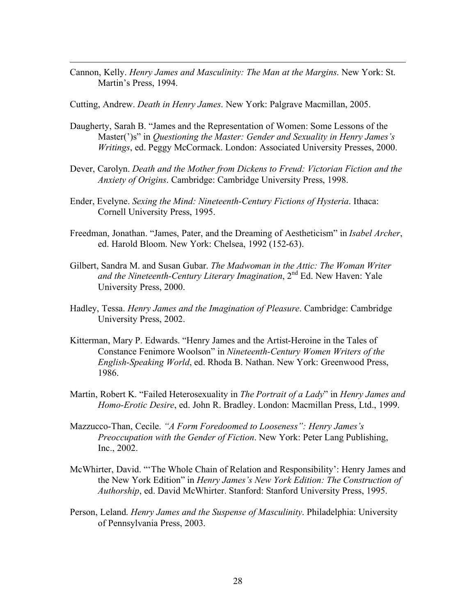Cannon, Kelly. *Henry James and Masculinity: The Man at the Margins*. New York: St. Martin's Press, 1994.

Cutting, Andrew. *Death in Henry James*. New York: Palgrave Macmillan, 2005.

 $\overline{a}$ 

- Daugherty, Sarah B. "James and the Representation of Women: Some Lessons of the Master(')s" in *Questioning the Master: Gender and Sexuality in Henry James's Writings*, ed. Peggy McCormack. London: Associated University Presses, 2000.
- Dever, Carolyn. *Death and the Mother from Dickens to Freud: Victorian Fiction and the Anxiety of Origins*. Cambridge: Cambridge University Press, 1998.
- Ender, Evelyne. *Sexing the Mind: Nineteenth-Century Fictions of Hysteria*. Ithaca: Cornell University Press, 1995.
- Freedman, Jonathan. "James, Pater, and the Dreaming of Aestheticism" in *Isabel Archer*, ed. Harold Bloom. New York: Chelsea, 1992 (152-63).
- Gilbert, Sandra M. and Susan Gubar. *The Madwoman in the Attic: The Woman Writer and the Nineteenth-Century Literary Imagination*, 2nd Ed. New Haven: Yale University Press, 2000.
- Hadley, Tessa. *Henry James and the Imagination of Pleasure*. Cambridge: Cambridge University Press, 2002.
- Kitterman, Mary P. Edwards. "Henry James and the Artist-Heroine in the Tales of Constance Fenimore Woolson" in *Nineteenth-Century Women Writers of the English-Speaking World*, ed. Rhoda B. Nathan. New York: Greenwood Press, 1986.
- Martin, Robert K. "Failed Heterosexuality in *The Portrait of a Lady*" in *Henry James and Homo-Erotic Desire*, ed. John R. Bradley. London: Macmillan Press, Ltd., 1999.
- Mazzucco-Than, Cecile. *"A Form Foredoomed to Looseness": Henry James's Preoccupation with the Gender of Fiction*. New York: Peter Lang Publishing, Inc., 2002.
- McWhirter, David. "'The Whole Chain of Relation and Responsibility': Henry James and the New York Edition" in *Henry James's New York Edition: The Construction of Authorship*, ed. David McWhirter. Stanford: Stanford University Press, 1995.
- Person, Leland. *Henry James and the Suspense of Masculinity*. Philadelphia: University of Pennsylvania Press, 2003.